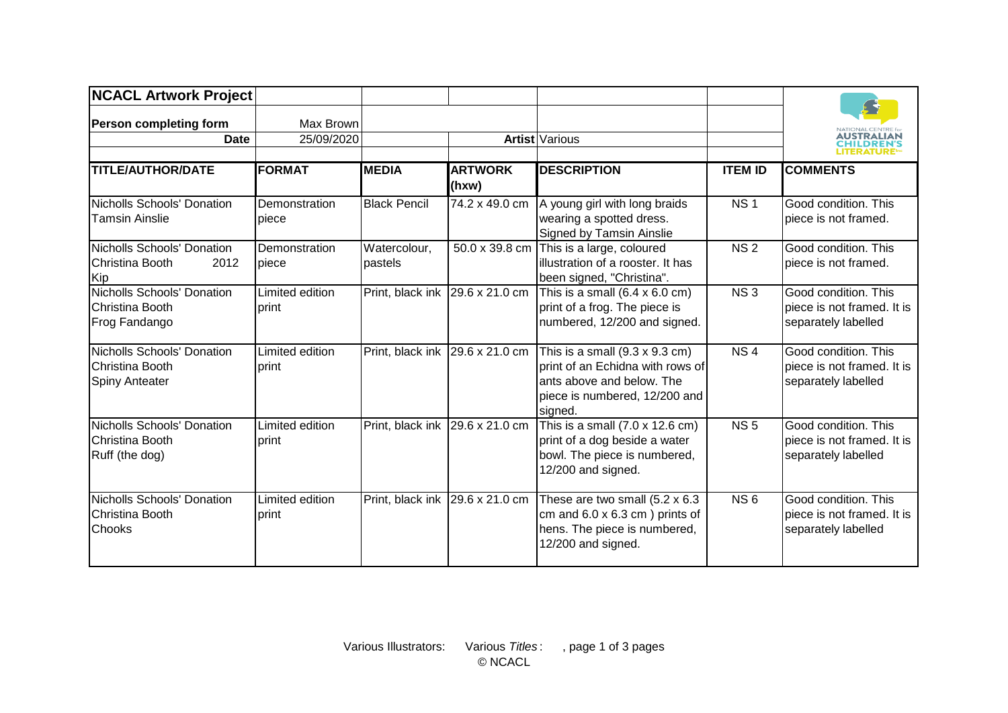| <b>NCACL Artwork Project</b>                                           |                          |                         |                         |                                                                                                                                                            |                 |                                                                                               |
|------------------------------------------------------------------------|--------------------------|-------------------------|-------------------------|------------------------------------------------------------------------------------------------------------------------------------------------------------|-----------------|-----------------------------------------------------------------------------------------------|
| <b>Person completing form</b><br><b>Date</b>                           | Max Brown<br>25/09/2020  |                         |                         | Artist Various                                                                                                                                             |                 | NATIONAL CENTRE fo<br><b>AUSTRALIAN</b><br><b>CHILDREN'S</b><br><b>LITERATURE<sup>®</sup></b> |
| <b>TITLE/AUTHOR/DATE</b>                                               | <b>FORMAT</b>            | <b>MEDIA</b>            | <b>ARTWORK</b><br>(hxw) | <b>DESCRIPTION</b>                                                                                                                                         | <b>ITEM ID</b>  | <b>COMMENTS</b>                                                                               |
| Nicholls Schools' Donation<br><b>Tamsin Ainslie</b>                    | Demonstration<br>piece   | <b>Black Pencil</b>     | 74.2 x 49.0 cm          | A young girl with long braids<br>wearing a spotted dress.<br>Signed by Tamsin Ainslie                                                                      | NS <sub>1</sub> | Good condition. This<br>piece is not framed.                                                  |
| <b>Nicholls Schools' Donation</b><br>2012<br>Christina Booth<br>Kip    | Demonstration<br>piece   | Watercolour,<br>pastels | 50.0 x 39.8 cm          | This is a large, coloured<br>lillustration of a rooster. It has<br>been signed, "Christina".                                                               | <b>NS2</b>      | Good condition. This<br>piece is not framed.                                                  |
| <b>Nicholls Schools' Donation</b><br>Christina Booth<br>Frog Fandango  | Limited edition<br>print | Print, black ink        | 29.6 x 21.0 cm          | This is a small $(6.4 \times 6.0 \text{ cm})$<br>print of a frog. The piece is<br>numbered, 12/200 and signed.                                             | NS3             | Good condition. This<br>piece is not framed. It is<br>separately labelled                     |
| Nicholls Schools' Donation<br>Christina Booth<br><b>Spiny Anteater</b> | Limited edition<br>print | Print, black ink        | 29.6 x 21.0 cm          | This is a small $(9.3 \times 9.3 \text{ cm})$<br>print of an Echidna with rows of<br>ants above and below. The<br>piece is numbered, 12/200 and<br>signed. | NS <sub>4</sub> | Good condition. This<br>piece is not framed. It is<br>separately labelled                     |
| Nicholls Schools' Donation<br>Christina Booth<br>Ruff (the dog)        | Limited edition<br>print | Print, black ink        | 29.6 x 21.0 cm          | This is a small (7.0 x 12.6 cm)<br>print of a dog beside a water<br>bowl. The piece is numbered,<br>12/200 and signed.                                     | <b>NS5</b>      | Good condition. This<br>piece is not framed. It is<br>separately labelled                     |
| Nicholls Schools' Donation<br>Christina Booth<br>Chooks                | Limited edition<br>print | Print, black ink        | 29.6 x 21.0 cm          | These are two small (5.2 x 6.3<br>cm and $6.0 \times 6.3$ cm ) prints of<br>hens. The piece is numbered,<br>12/200 and signed.                             | NS <sub>6</sub> | Good condition. This<br>piece is not framed. It is<br>separately labelled                     |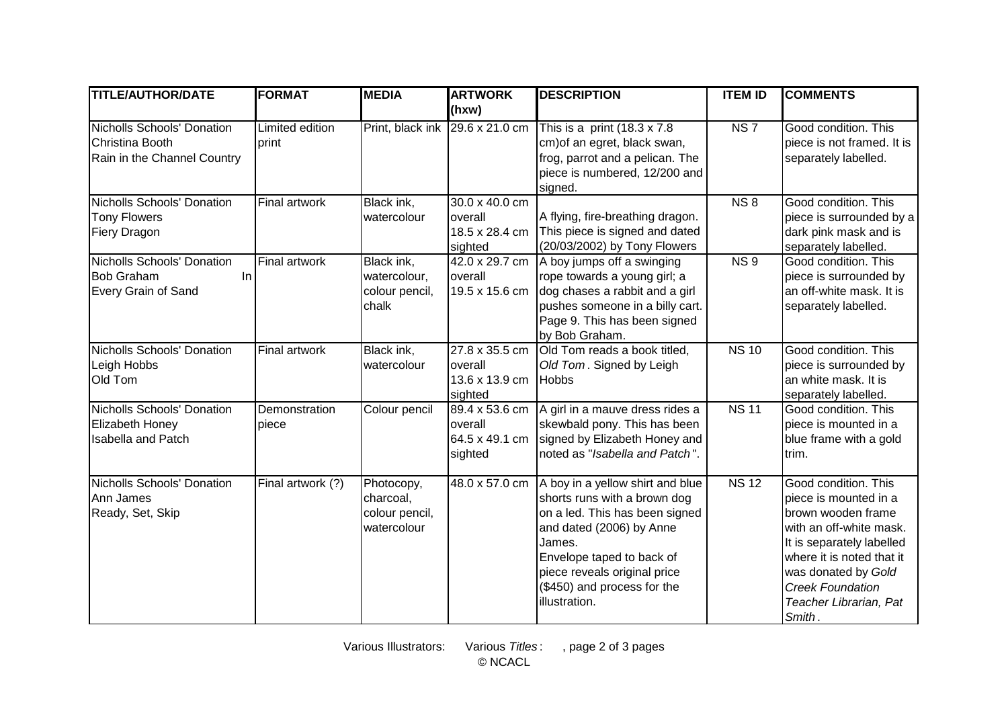| <b>TITLE/AUTHOR/DATE</b>                                                     | <b>FORMAT</b>            | <b>MEDIA</b>                                             | <b>ARTWORK</b>                                              | <b>DESCRIPTION</b>                                                                                                                                                                                                                                    | <b>ITEM ID</b>  | <b>COMMENTS</b>                                                                                                                                                                                                                                |
|------------------------------------------------------------------------------|--------------------------|----------------------------------------------------------|-------------------------------------------------------------|-------------------------------------------------------------------------------------------------------------------------------------------------------------------------------------------------------------------------------------------------------|-----------------|------------------------------------------------------------------------------------------------------------------------------------------------------------------------------------------------------------------------------------------------|
|                                                                              |                          |                                                          | (hxw)                                                       |                                                                                                                                                                                                                                                       |                 |                                                                                                                                                                                                                                                |
| Nicholls Schools' Donation<br>Christina Booth<br>Rain in the Channel Country | Limited edition<br>print |                                                          | Print, black ink $\left[29.6 \times 21.0 \text{ cm}\right]$ | This is a print $(18.3 \times 7.8)$<br>cm) of an egret, black swan,<br>frog, parrot and a pelican. The<br>piece is numbered, 12/200 and<br>signed.                                                                                                    | NS <sub>7</sub> | Good condition. This<br>piece is not framed. It is<br>separately labelled.                                                                                                                                                                     |
| Nicholls Schools' Donation<br><b>Tony Flowers</b><br><b>Fiery Dragon</b>     | Final artwork            | Black ink,<br>watercolour                                | 30.0 x 40.0 cm<br>overall<br>18.5 x 28.4 cm<br>sighted      | A flying, fire-breathing dragon.<br>This piece is signed and dated<br>(20/03/2002) by Tony Flowers                                                                                                                                                    | <b>NS8</b>      | Good condition. This<br>piece is surrounded by a<br>dark pink mask and is<br>separately labelled.                                                                                                                                              |
| Nicholls Schools' Donation<br><b>Bob Graham</b><br>In<br>Every Grain of Sand | <b>Final artwork</b>     | Black ink,<br>watercolour,<br>colour pencil,<br>chalk    | 42.0 x 29.7 cm<br>overall<br>19.5 x 15.6 cm                 | A boy jumps off a swinging<br>rope towards a young girl; a<br>dog chases a rabbit and a girl<br>pushes someone in a billy cart.<br>Page 9. This has been signed<br>by Bob Graham.                                                                     | NS <sub>9</sub> | Good condition. This<br>piece is surrounded by<br>an off-white mask. It is<br>separately labelled.                                                                                                                                             |
| Nicholls Schools' Donation<br>Leigh Hobbs<br>Old Tom                         | Final artwork            | Black ink,<br>watercolour                                | 27.8 x 35.5 cm<br>overall<br>13.6 x 13.9 cm<br>sighted      | Old Tom reads a book titled,<br>Old Tom. Signed by Leigh<br><b>Hobbs</b>                                                                                                                                                                              | <b>NS 10</b>    | Good condition. This<br>piece is surrounded by<br>an white mask. It is<br>separately labelled.                                                                                                                                                 |
| Nicholls Schools' Donation<br>Elizabeth Honey<br>Isabella and Patch          | Demonstration<br>piece   | Colour pencil                                            | 89.4 x 53.6 cm<br>overall<br>64.5 x 49.1 cm<br>sighted      | A girl in a mauve dress rides a<br>skewbald pony. This has been<br>signed by Elizabeth Honey and<br>noted as "Isabella and Patch".                                                                                                                    | <b>NS 11</b>    | Good condition. This<br>piece is mounted in a<br>blue frame with a gold<br>trim.                                                                                                                                                               |
| Nicholls Schools' Donation<br>Ann James<br>Ready, Set, Skip                  | Final artwork (?)        | Photocopy,<br>charcoal,<br>colour pencil,<br>watercolour | 48.0 x 57.0 cm                                              | A boy in a yellow shirt and blue<br>shorts runs with a brown dog<br>on a led. This has been signed<br>and dated (2006) by Anne<br>James.<br>Envelope taped to back of<br>piece reveals original price<br>(\$450) and process for the<br>illustration. | <b>NS12</b>     | Good condition. This<br>piece is mounted in a<br>brown wooden frame<br>with an off-white mask.<br>It is separately labelled<br>where it is noted that it<br>was donated by Gold<br><b>Creek Foundation</b><br>Teacher Librarian, Pat<br>Smith. |